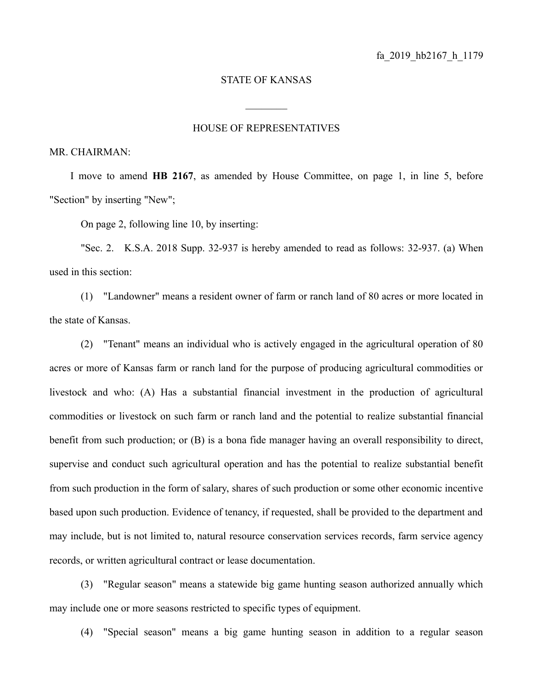## STATE OF KANSAS

## HOUSE OF REPRESENTATIVES

 $\frac{1}{2}$ 

MR. CHAIRMAN:

I move to amend **HB 2167**, as amended by House Committee, on page 1, in line 5, before "Section" by inserting "New";

On page 2, following line 10, by inserting:

"Sec. 2. K.S.A. 2018 Supp. 32-937 is hereby amended to read as follows: 32-937. (a) When used in this section:

(1) "Landowner" means a resident owner of farm or ranch land of 80 acres or more located in the state of Kansas.

(2) "Tenant" means an individual who is actively engaged in the agricultural operation of 80 acres or more of Kansas farm or ranch land for the purpose of producing agricultural commodities or livestock and who: (A) Has a substantial financial investment in the production of agricultural commodities or livestock on such farm or ranch land and the potential to realize substantial financial benefit from such production; or (B) is a bona fide manager having an overall responsibility to direct, supervise and conduct such agricultural operation and has the potential to realize substantial benefit from such production in the form of salary, shares of such production or some other economic incentive based upon such production. Evidence of tenancy, if requested, shall be provided to the department and may include, but is not limited to, natural resource conservation services records, farm service agency records, or written agricultural contract or lease documentation.

(3) "Regular season" means a statewide big game hunting season authorized annually which may include one or more seasons restricted to specific types of equipment.

(4) "Special season" means a big game hunting season in addition to a regular season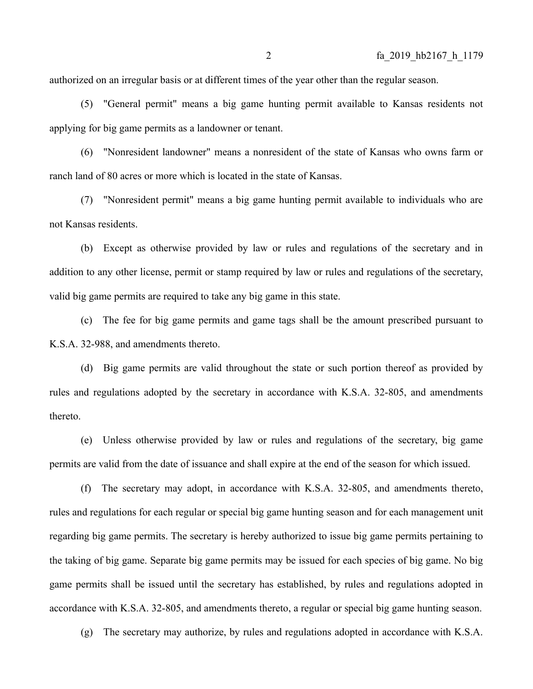authorized on an irregular basis or at different times of the year other than the regular season.

(5) "General permit" means a big game hunting permit available to Kansas residents not applying for big game permits as a landowner or tenant.

(6) "Nonresident landowner" means a nonresident of the state of Kansas who owns farm or ranch land of 80 acres or more which is located in the state of Kansas.

(7) "Nonresident permit" means a big game hunting permit available to individuals who are not Kansas residents.

(b) Except as otherwise provided by law or rules and regulations of the secretary and in addition to any other license, permit or stamp required by law or rules and regulations of the secretary, valid big game permits are required to take any big game in this state.

(c) The fee for big game permits and game tags shall be the amount prescribed pursuant to K.S.A. 32-988, and amendments thereto.

(d) Big game permits are valid throughout the state or such portion thereof as provided by rules and regulations adopted by the secretary in accordance with K.S.A. 32-805, and amendments thereto.

(e) Unless otherwise provided by law or rules and regulations of the secretary, big game permits are valid from the date of issuance and shall expire at the end of the season for which issued.

(f) The secretary may adopt, in accordance with K.S.A. 32-805, and amendments thereto, rules and regulations for each regular or special big game hunting season and for each management unit regarding big game permits. The secretary is hereby authorized to issue big game permits pertaining to the taking of big game. Separate big game permits may be issued for each species of big game. No big game permits shall be issued until the secretary has established, by rules and regulations adopted in accordance with K.S.A. 32-805, and amendments thereto, a regular or special big game hunting season.

(g) The secretary may authorize, by rules and regulations adopted in accordance with K.S.A.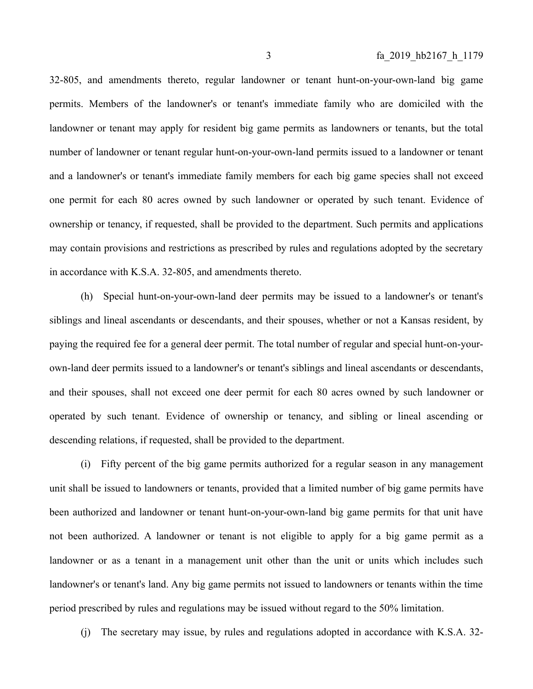32-805, and amendments thereto, regular landowner or tenant hunt-on-your-own-land big game permits. Members of the landowner's or tenant's immediate family who are domiciled with the landowner or tenant may apply for resident big game permits as landowners or tenants, but the total number of landowner or tenant regular hunt-on-your-own-land permits issued to a landowner or tenant and a landowner's or tenant's immediate family members for each big game species shall not exceed one permit for each 80 acres owned by such landowner or operated by such tenant. Evidence of ownership or tenancy, if requested, shall be provided to the department. Such permits and applications may contain provisions and restrictions as prescribed by rules and regulations adopted by the secretary in accordance with K.S.A. 32-805, and amendments thereto.

(h) Special hunt-on-your-own-land deer permits may be issued to a landowner's or tenant's siblings and lineal ascendants or descendants, and their spouses, whether or not a Kansas resident, by paying the required fee for a general deer permit. The total number of regular and special hunt-on-yourown-land deer permits issued to a landowner's or tenant's siblings and lineal ascendants or descendants, and their spouses, shall not exceed one deer permit for each 80 acres owned by such landowner or operated by such tenant. Evidence of ownership or tenancy, and sibling or lineal ascending or descending relations, if requested, shall be provided to the department.

(i) Fifty percent of the big game permits authorized for a regular season in any management unit shall be issued to landowners or tenants, provided that a limited number of big game permits have been authorized and landowner or tenant hunt-on-your-own-land big game permits for that unit have not been authorized. A landowner or tenant is not eligible to apply for a big game permit as a landowner or as a tenant in a management unit other than the unit or units which includes such landowner's or tenant's land. Any big game permits not issued to landowners or tenants within the time period prescribed by rules and regulations may be issued without regard to the 50% limitation.

(j) The secretary may issue, by rules and regulations adopted in accordance with K.S.A. 32-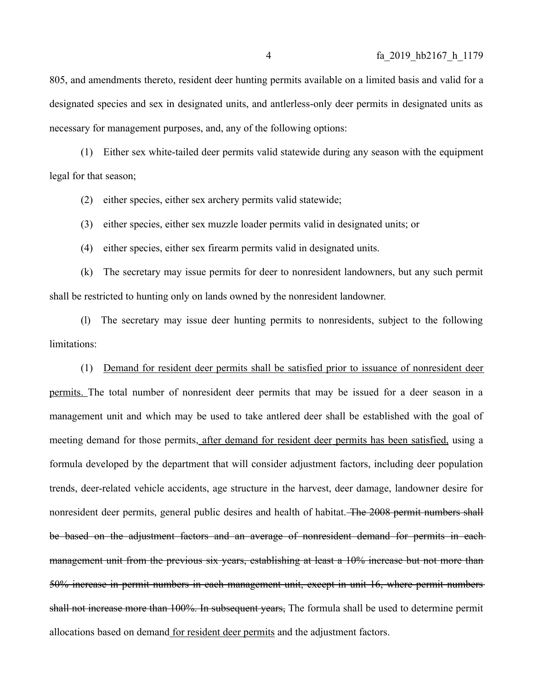805, and amendments thereto, resident deer hunting permits available on a limited basis and valid for a designated species and sex in designated units, and antlerless-only deer permits in designated units as necessary for management purposes, and, any of the following options:

(1) Either sex white-tailed deer permits valid statewide during any season with the equipment legal for that season;

(2) either species, either sex archery permits valid statewide;

(3) either species, either sex muzzle loader permits valid in designated units; or

(4) either species, either sex firearm permits valid in designated units.

(k) The secretary may issue permits for deer to nonresident landowners, but any such permit shall be restricted to hunting only on lands owned by the nonresident landowner.

(l) The secretary may issue deer hunting permits to nonresidents, subject to the following limitations:

(1) Demand for resident deer permits shall be satisfied prior to issuance of nonresident deer permits. The total number of nonresident deer permits that may be issued for a deer season in a management unit and which may be used to take antlered deer shall be established with the goal of meeting demand for those permits, after demand for resident deer permits has been satisfied, using a formula developed by the department that will consider adjustment factors, including deer population trends, deer-related vehicle accidents, age structure in the harvest, deer damage, landowner desire for nonresident deer permits, general public desires and health of habitat. The 2008 permit numbers shall be based on the adjustment factors and an average of nonresident demand for permits in each management unit from the previous six years, establishing at least a 10% increase but not more than 50% increase in permit numbers in each management unit, except in unit 16, where permit numbers shall not increase more than 100%. In subsequent vears, The formula shall be used to determine permit allocations based on demand for resident deer permits and the adjustment factors.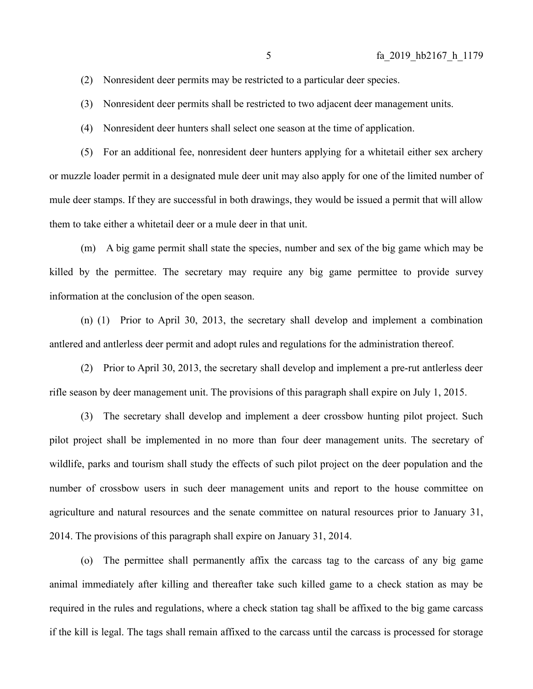(2) Nonresident deer permits may be restricted to a particular deer species.

(3) Nonresident deer permits shall be restricted to two adjacent deer management units.

(4) Nonresident deer hunters shall select one season at the time of application.

(5) For an additional fee, nonresident deer hunters applying for a whitetail either sex archery or muzzle loader permit in a designated mule deer unit may also apply for one of the limited number of mule deer stamps. If they are successful in both drawings, they would be issued a permit that will allow them to take either a whitetail deer or a mule deer in that unit.

(m) A big game permit shall state the species, number and sex of the big game which may be killed by the permittee. The secretary may require any big game permittee to provide survey information at the conclusion of the open season.

(n) (1) Prior to April 30, 2013, the secretary shall develop and implement a combination antlered and antlerless deer permit and adopt rules and regulations for the administration thereof.

(2) Prior to April 30, 2013, the secretary shall develop and implement a pre-rut antlerless deer rifle season by deer management unit. The provisions of this paragraph shall expire on July 1, 2015.

(3) The secretary shall develop and implement a deer crossbow hunting pilot project. Such pilot project shall be implemented in no more than four deer management units. The secretary of wildlife, parks and tourism shall study the effects of such pilot project on the deer population and the number of crossbow users in such deer management units and report to the house committee on agriculture and natural resources and the senate committee on natural resources prior to January 31, 2014. The provisions of this paragraph shall expire on January 31, 2014.

(o) The permittee shall permanently affix the carcass tag to the carcass of any big game animal immediately after killing and thereafter take such killed game to a check station as may be required in the rules and regulations, where a check station tag shall be affixed to the big game carcass if the kill is legal. The tags shall remain affixed to the carcass until the carcass is processed for storage